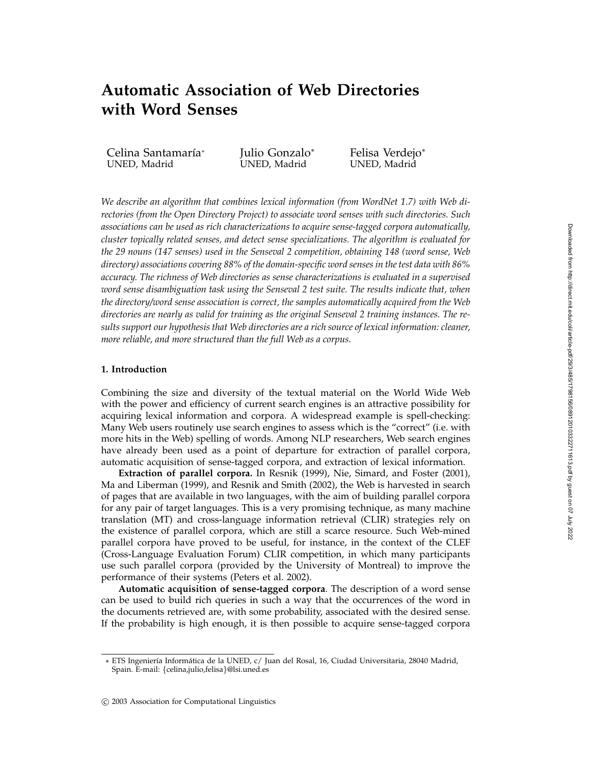# **Automatic Association of Web Directories with Word Senses**

Celina Santamar´ıa<sup>∗</sup> Julio Gonzalo<sup>∗</sup> Felisa Verdejo<sup>∗</sup>

UNED, Madrid

*We describe an algorithm that combines lexical information (from WordNet 1.7) with Web directories (from the Open Directory Project) to associate word senses with such directories. Such associations can be used as rich characterizations to acquire sense-tagged corpora automatically, cluster topically related senses, and detect sense specializations. The algorithm is evaluated for the 29 nouns (147 senses) used in the Senseval 2 competition, obtaining 148 (word sense, Web directory) associations covering 88% of the domain-specific word senses in the test data with 86% accuracy. The richness of Web directories as sense characterizations is evaluated in a supervised word sense disambiguation task using the Senseval 2 test suite. The results indicate that, when the directory/word sense association is correct, the samples automatically acquired from the Web directories are nearly as valid for training as the original Senseval 2 training instances. The results support our hypothesis that Web directories are a rich source of lexical information: cleaner, more reliable, and more structured than the full Web as a corpus.*

# **1. Introduction**

Combining the size and diversity of the textual material on the World Wide Web with the power and efficiency of current search engines is an attractive possibility for acquiring lexical information and corpora. A widespread example is spell-checking: Many Web users routinely use search engines to assess which is the "correct" (i.e. with more hits in the Web) spelling of words. Among NLP researchers, Web search engines have already been used as a point of departure for extraction of parallel corpora, automatic acquisition of sense-tagged corpora, and extraction of lexical information.

**Extraction of parallel corpora.** In Resnik (1999), Nie, Simard, and Foster (2001), Ma and Liberman (1999), and Resnik and Smith (2002), the Web is harvested in search of pages that are available in two languages, with the aim of building parallel corpora for any pair of target languages. This is a very promising technique, as many machine translation (MT) and cross-language information retrieval (CLIR) strategies rely on the existence of parallel corpora, which are still a scarce resource. Such Web-mined parallel corpora have proved to be useful, for instance, in the context of the CLEF (Cross-Language Evaluation Forum) CLIR competition, in which many participants use such parallel corpora (provided by the University of Montreal) to improve the performance of their systems (Peters et al. 2002).

**Automatic acquisition of sense-tagged corpora**. The description of a word sense can be used to build rich queries in such a way that the occurrences of the word in the documents retrieved are, with some probability, associated with the desired sense. If the probability is high enough, it is then possible to acquire sense-tagged corpora

<sup>∗</sup> ETS Ingenier´ıa Inform´atica de la UNED, c/ Juan del Rosal, 16, Ciudad Universitaria, 28040 Madrid, Spain. E-mail: {celina,julio,felisa}@lsi.uned.es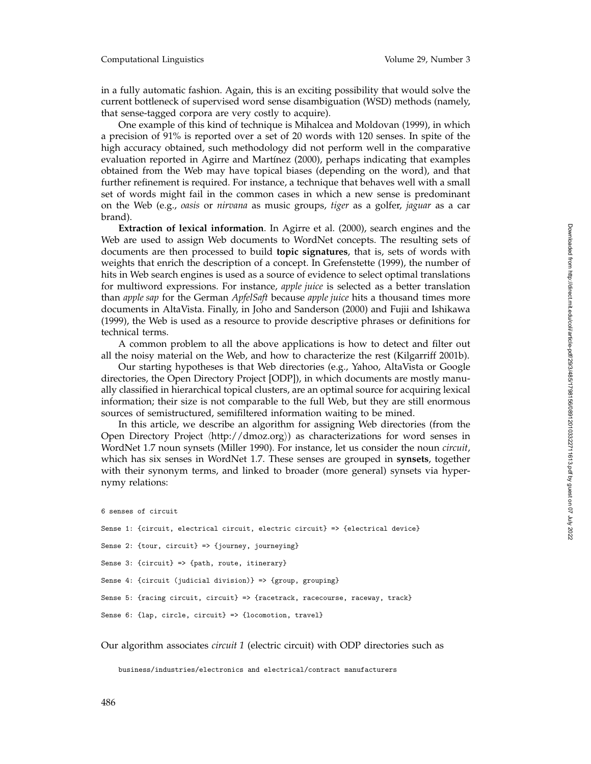in a fully automatic fashion. Again, this is an exciting possibility that would solve the current bottleneck of supervised word sense disambiguation (WSD) methods (namely, that sense-tagged corpora are very costly to acquire).

One example of this kind of technique is Mihalcea and Moldovan (1999), in which a precision of 91% is reported over a set of 20 words with 120 senses. In spite of the high accuracy obtained, such methodology did not perform well in the comparative evaluation reported in Agirre and Martínez (2000), perhaps indicating that examples obtained from the Web may have topical biases (depending on the word), and that further refinement is required. For instance, a technique that behaves well with a small set of words might fail in the common cases in which a new sense is predominant on the Web (e.g., *oasis* or *nirvana* as music groups, *tiger* as a golfer, *jaguar* as a car brand).

**Extraction of lexical information**. In Agirre et al. (2000), search engines and the Web are used to assign Web documents to WordNet concepts. The resulting sets of documents are then processed to build **topic signatures**, that is, sets of words with weights that enrich the description of a concept. In Grefenstette (1999), the number of hits in Web search engines is used as a source of evidence to select optimal translations for multiword expressions. For instance, *apple juice* is selected as a better translation than *apple sap* for the German *ApfelSaft* because *apple juice* hits a thousand times more documents in AltaVista. Finally, in Joho and Sanderson (2000) and Fujii and Ishikawa (1999), the Web is used as a resource to provide descriptive phrases or definitions for technical terms.

A common problem to all the above applications is how to detect and filter out all the noisy material on the Web, and how to characterize the rest (Kilgarriff 2001b).

Our starting hypotheses is that Web directories (e.g., Yahoo, AltaVista or Google directories, the Open Directory Project [ODP]), in which documents are mostly manually classified in hierarchical topical clusters, are an optimal source for acquiring lexical information; their size is not comparable to the full Web, but they are still enormous sources of semistructured, semifiltered information waiting to be mined.

In this article, we describe an algorithm for assigning Web directories (from the Open Directory Project  $\langle$ http://dmoz.org $\rangle$ ) as characterizations for word senses in WordNet 1.7 noun synsets (Miller 1990). For instance, let us consider the noun *circuit*, which has six senses in WordNet 1.7. These senses are grouped in **synsets**, together with their synonym terms, and linked to broader (more general) synsets via hypernymy relations:

```
6 senses of circuit
```

```
Sense 1: {circuit, electrical circuit, electric circuit} => {electrical device}
```

```
Sense 2: {tour, circuit} => {journey, journeying}
```

```
Sense 3: {circuit} => {path, route, itinerary}
```
Sense 4: {circuit (judicial division)} => {group, grouping}

Sense 5: {racing circuit, circuit} => {racetrack, racecourse, raceway, track}

Sense 6: {lap, circle, circuit} => {locomotion, travel}

Our algorithm associates *circuit 1* (electric circuit) with ODP directories such as

```
business/industries/electronics and electrical/contract manufacturers
```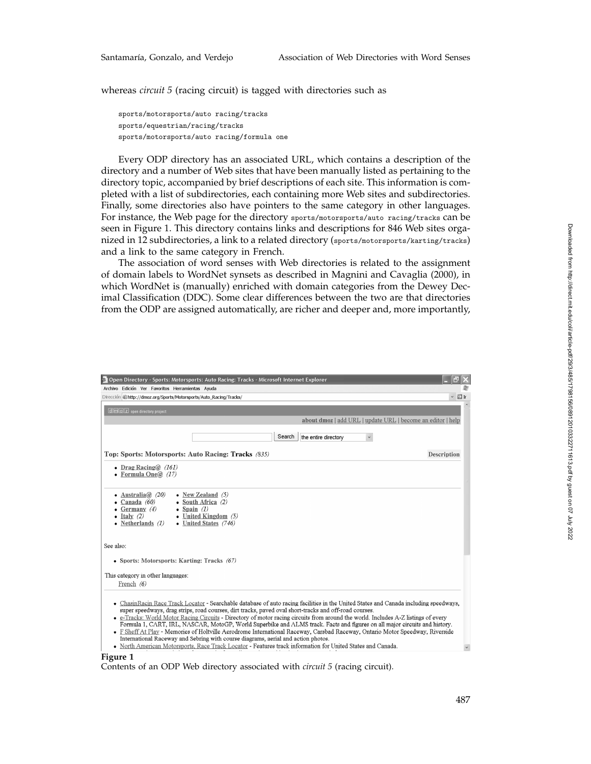whereas *circuit 5* (racing circuit) is tagged with directories such as

sports/motorsports/auto racing/tracks sports/equestrian/racing/tracks sports/motorsports/auto racing/formula one

Every ODP directory has an associated URL, which contains a description of the directory and a number of Web sites that have been manually listed as pertaining to the directory topic, accompanied by brief descriptions of each site. This information is completed with a list of subdirectories, each containing more Web sites and subdirectories. Finally, some directories also have pointers to the same category in other languages. For instance, the Web page for the directory sports/motorsports/auto racing/tracks can be seen in Figure 1. This directory contains links and descriptions for 846 Web sites organized in 12 subdirectories, a link to a related directory (sports/motorsports/karting/tracks) and a link to the same category in French.

The association of word senses with Web directories is related to the assignment of domain labels to WordNet synsets as described in Magnini and Cavaglia (2000), in which WordNet is (manually) enriched with domain categories from the Dewey Decimal Classification (DDC). Some clear differences between the two are that directories from the ODP are assigned automatically, are richer and deeper and, more importantly,

| Open Directory - Sports: Motorsports: Auto Racing: Tracks - Microsoft Internet Explorer                                                                                                                                                                                                                                                                                                                                                                                                                                                                                                                                                                                                                                                                                                                                                                              |  |
|----------------------------------------------------------------------------------------------------------------------------------------------------------------------------------------------------------------------------------------------------------------------------------------------------------------------------------------------------------------------------------------------------------------------------------------------------------------------------------------------------------------------------------------------------------------------------------------------------------------------------------------------------------------------------------------------------------------------------------------------------------------------------------------------------------------------------------------------------------------------|--|
| Archivo Edición Ver Favoritos Herramientas Ayuda                                                                                                                                                                                                                                                                                                                                                                                                                                                                                                                                                                                                                                                                                                                                                                                                                     |  |
| $\vee$ $\Box$ Ir<br>Dirección @http://dmoz.org/Sports/Motorsports/Auto_Racing/Tracks/                                                                                                                                                                                                                                                                                                                                                                                                                                                                                                                                                                                                                                                                                                                                                                                |  |
| dmoz open directory project                                                                                                                                                                                                                                                                                                                                                                                                                                                                                                                                                                                                                                                                                                                                                                                                                                          |  |
| about dmoz   add URL   update URL   become an editor   help                                                                                                                                                                                                                                                                                                                                                                                                                                                                                                                                                                                                                                                                                                                                                                                                          |  |
| $\ddot{\phantom{0}}$<br>Search<br>the entire directory                                                                                                                                                                                                                                                                                                                                                                                                                                                                                                                                                                                                                                                                                                                                                                                                               |  |
| Top: Sports: Motorsports: Auto Racing: Tracks (835)<br>Description                                                                                                                                                                                                                                                                                                                                                                                                                                                                                                                                                                                                                                                                                                                                                                                                   |  |
| • Drag Racing@ $(161)$<br>• Formula One@ $(17)$                                                                                                                                                                                                                                                                                                                                                                                                                                                                                                                                                                                                                                                                                                                                                                                                                      |  |
| • Australia $\hat{a}$ (20)<br>• New Zealand $(5)$<br>• Canada $(60)$<br>• South Africa $(2)$<br>• Germany $(4)$<br>• Spain $(1)$<br>• United Kingdom $(5)$<br>Italy $(2)$<br>• Netherlands $\langle I \rangle$<br>• United States $(746)$<br>See also:                                                                                                                                                                                                                                                                                                                                                                                                                                                                                                                                                                                                               |  |
| • Sports: Motorsports: Karting: Tracks (67)                                                                                                                                                                                                                                                                                                                                                                                                                                                                                                                                                                                                                                                                                                                                                                                                                          |  |
| This category in other languages:<br>French $(6)$                                                                                                                                                                                                                                                                                                                                                                                                                                                                                                                                                                                                                                                                                                                                                                                                                    |  |
| • ChasinRacin Race Track Locator - Searchable database of auto racing facilities in the United States and Canada including speedways,<br>super speedways, drag strips, road courses, dirt tracks, paved oval short-tracks and off-road courses.<br>• e-Tracks: World Motor Racing Circuits - Directory of motor racing circuits from around the world. Includes A-Z listings of every<br>Formula 1, CART, IRL, NASCAR, MotoGP, World Superbike and ALMS track. Facts and figures on all major circuits and history.<br>· F Sheff At Play - Memories of Holtville Aerodrome International Raceway, Carsbad Raceway, Ontario Motor Speedway, Riverside<br>International Raceway and Sebring with course diagrams, aerial and action photos.<br>• North American Motorsports, Race Track Locator - Features track information for United States and Canada.<br>Figure 1 |  |

Contents of an ODP Web directory associated with *circuit 5* (racing circuit).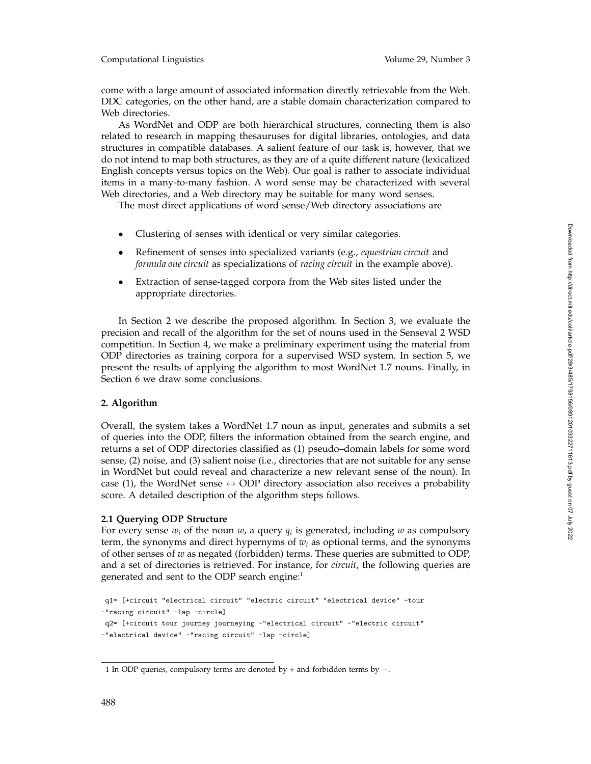come with a large amount of associated information directly retrievable from the Web. DDC categories, on the other hand, are a stable domain characterization compared to Web directories.

As WordNet and ODP are both hierarchical structures, connecting them is also related to research in mapping thesauruses for digital libraries, ontologies, and data structures in compatible databases. A salient feature of our task is, however, that we do not intend to map both structures, as they are of a quite different nature (lexicalized English concepts versus topics on the Web). Our goal is rather to associate individual items in a many-to-many fashion. A word sense may be characterized with several Web directories, and a Web directory may be suitable for many word senses.

The most direct applications of word sense/Web directory associations are

- Clustering of senses with identical or very similar categories.
- Refinement of senses into specialized variants (e.g., *equestrian circuit* and *formula one circuit* as specializations of *racing circuit* in the example above).
- Extraction of sense-tagged corpora from the Web sites listed under the appropriate directories.

In Section 2 we describe the proposed algorithm. In Section 3, we evaluate the precision and recall of the algorithm for the set of nouns used in the Senseval 2 WSD competition. In Section 4, we make a preliminary experiment using the material from ODP directories as training corpora for a supervised WSD system. In section 5, we present the results of applying the algorithm to most WordNet 1.7 nouns. Finally, in Section 6 we draw some conclusions.

# **2. Algorithm**

Overall, the system takes a WordNet 1.7 noun as input, generates and submits a set of queries into the ODP, filters the information obtained from the search engine, and returns a set of ODP directories classified as (1) pseudo–domain labels for some word sense, (2) noise, and (3) salient noise (i.e., directories that are not suitable for any sense in WordNet but could reveal and characterize a new relevant sense of the noun). In case (1), the WordNet sense  $\leftrightarrow$  ODP directory association also receives a probability score. A detailed description of the algorithm steps follows.

## **2.1 Querying ODP Structure**

For every sense *wi* of the noun *w*, a query *qi* is generated, including *w* as compulsory term, the synonyms and direct hypernyms of *wi* as optional terms, and the synonyms of other senses of *w* as negated (forbidden) terms. These queries are submitted to ODP, and a set of directories is retrieved. For instance, for *circuit*, the following queries are generated and sent to the ODP search engine:<sup>1</sup>

```
q1= [+circuit "electrical circuit" "electric circuit" "electrical device" -tour
-"racing circuit" -lap -circle]
q2= [+circuit tour journey journeying -"electrical circuit" -"electric circuit"
-"electrical device" -"racing circuit" -lap -circle]
```
<sup>1</sup> In ODP queries, compulsory terms are denoted by + and forbidden terms by −.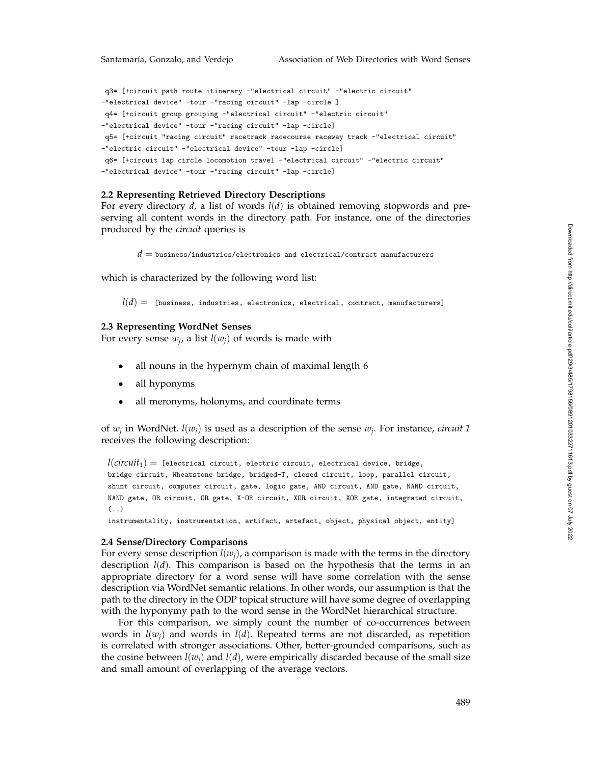```
q3= [+circuit path route itinerary -"electrical circuit" -"electric circuit"
-"electrical device" -tour -"racing circuit" -lap -circle ]
q4= [+circuit group grouping -"electrical circuit" -"electric circuit"
-"electrical device" -tour -"racing circuit" -lap -circle]
q5= [+circuit "racing circuit" racetrack racecourse raceway track -"electrical circuit"
-"electric circuit" -"electrical device" -tour -lap -circle]
q6= [+circuit lap circle locomotion travel -"electrical circuit" -"electric circuit"
-"electrical device" -tour -"racing circuit" -lap -circle]
```
## **2.2 Representing Retrieved Directory Descriptions**

For every directory *d*, a list of words  $l(d)$  is obtained removing stopwords and preserving all content words in the directory path. For instance, one of the directories produced by the *circuit* queries is

 $d=\hbox{\em basic}$  industries/electronics and electrical/contract manufacturers

which is characterized by the following word list:

 $l(d) =$  [business, industries, electronics, electrical, contract, manufacturers]

## **2.3 Representing WordNet Senses**

For every sense  $w_j$ , a list  $l(w_j)$  of words is made with

- all nouns in the hypernym chain of maximal length 6
- all hyponyms
- all meronyms, holonyms, and coordinate terms

of *wj* in WordNet. *l* ( *wj* ) is used as a description of the sense *wj*. For instance, *circuit 1* receives the following description:

 $l(circuit_1) =$  [electrical circuit, electric circuit, electrical device, bridge, bridge circuit, Wheatstone bridge, bridged-T, closed circuit, loop, parallel circuit, shunt circuit, computer circuit, gate, logic gate, AND circuit, AND gate, NAND circuit, NAND gate, OR circuit, OR gate, X-OR circuit, XOR circuit, XOR gate, integrated circuit, (..)

instrumentality, instrumentation, artifact, artefact, object, physical object, entity]

## **2.4 Sense/Directory Comparisons**

For every sense description  $l(w_j)$ , a comparison is made with the terms in the directory description  $l(d)$ . This comparison is based on the hypothesis that the terms in an appropriate directory for a word sense will have some correlation with the sense description via WordNet semantic relations. In other words, our assumption is that the path to the directory in the ODP topical structure will have some degree of overlapping with the hyponymy path to the word sense in the WordNet hierarchical structure.

For this comparison, we simply count the number of co-occurrences between words in  $l(w_j)$  and words in  $l(d)$ . Repeated terms are not discarded, as repetition is correlated with stronger associations. Other, better-grounded comparisons, such as the cosine between  $l(w_j)$  and  $l(d)$ , were empirically discarded because of the small size and small amount of overlapping of the average vectors.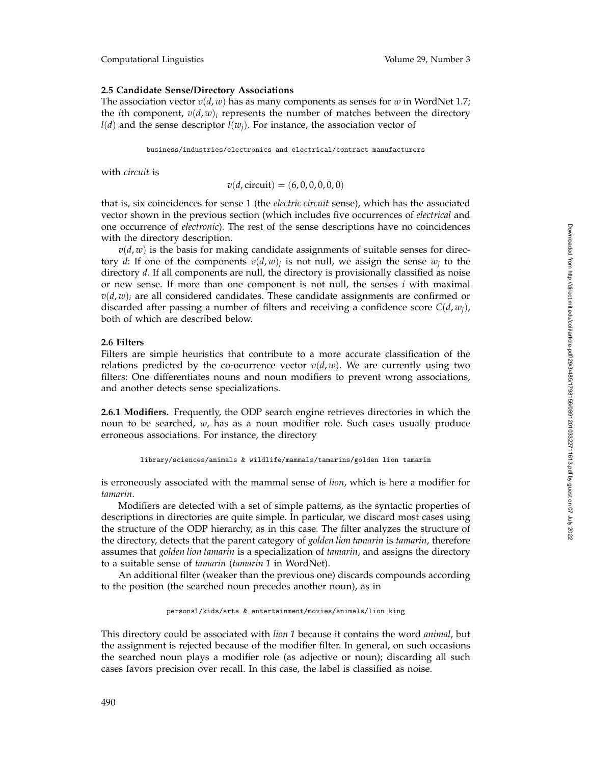## **2.5 Candidate Sense/Directory Associations**

The association vector  $v(d, w)$  has as many components as senses for *w* in WordNet 1.7; the *i*th component,  $v(d, w)$ *i* represents the number of matches between the directory  $l(d)$  and the sense descriptor  $l(w_i)$ . For instance, the association vector of

business/industries/electronics and electrical/contract manufacturers

with *circuit* is

 $v(d, circuit) = (6, 0, 0, 0, 0, 0)$ 

that is, six coincidences for sense 1 (the *electric circuit* sense), which has the associated vector shown in the previous section (which includes five occurrences of *electrical* and one occurrence of *electronic*). The rest of the sense descriptions have no coincidences with the directory description.

 $v(d, w)$  is the basis for making candidate assignments of suitable senses for directory *d*: If one of the components  $v(d, w)$ *j* is not null, we assign the sense  $w_i$  to the directory *d*. If all components are null, the directory is provisionally classified as noise or new sense. If more than one component is not null, the senses *i* with maximal  $v(d, w)$ <sup>*i*</sup> are all considered candidates. These candidate assignments are confirmed or discarded after passing a number of filters and receiving a confidence score *C*(*d*, *wj*), both of which are described below.

# **2.6 Filters**

Filters are simple heuristics that contribute to a more accurate classification of the relations predicted by the co-ocurrence vector  $v(d, w)$ . We are currently using two filters: One differentiates nouns and noun modifiers to prevent wrong associations, and another detects sense specializations.

**2.6.1 Modifiers.** Frequently, the ODP search engine retrieves directories in which the noun to be searched, *w*, has as a noun modifier role. Such cases usually produce erroneous associations. For instance, the directory

library/sciences/animals & wildlife/mammals/tamarins/golden lion tamarin

is erroneously associated with the mammal sense of *lion*, which is here a modifier for *tamarin*.

Modifiers are detected with a set of simple patterns, as the syntactic properties of descriptions in directories are quite simple. In particular, we discard most cases using the structure of the ODP hierarchy, as in this case. The filter analyzes the structure of the directory, detects that the parent category of *golden lion tamarin* is *tamarin*, therefore assumes that *golden lion tamarin* is a specialization of *tamarin*, and assigns the directory to a suitable sense of *tamarin* (*tamarin 1* in WordNet).

An additional filter (weaker than the previous one) discards compounds according to the position (the searched noun precedes another noun), as in

```
personal/kids/arts & entertainment/movies/animals/lion king
```
This directory could be associated with *lion 1* because it contains the word *animal*, but the assignment is rejected because of the modifier filter. In general, on such occasions the searched noun plays a modifier role (as adjective or noun); discarding all such cases favors precision over recall. In this case, the label is classified as noise.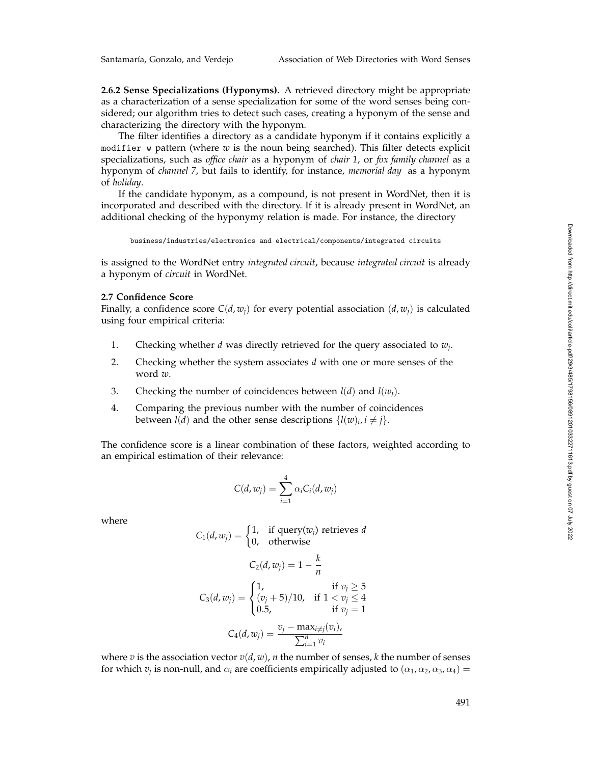**2.6.2 Sense Specializations (Hyponyms).** A retrieved directory might be appropriate as a characterization of a sense specialization for some of the word senses being considered; our algorithm tries to detect such cases, creating a hyponym of the sense and characterizing the directory with the hyponym.

The filter identifies a directory as a candidate hyponym if it contains explicitly a modifier **w** pattern (where  $w$  is the noun being searched). This filter detects explicit specializations, such as *office chair* as a hyponym of *chair 1*, or *fox family channel* as a hyponym of *channel 7*, but fails to identify, for instance, *memorial day* as a hyponym of *holiday* .

If the candidate hyponym, as a compound, is not present in WordNet, then it is incorporated and described with the directory. If it is already present in WordNet, an additional checking of the hyponymy relation is made. For instance, the directory

business/industries/electronics and electrical/components/integrated circuits

is assigned to the WordNet entry *integrated circuit*, because *integrated circuit* is already a hyponym of *circuit* in WordNet.

## **2.7 Confidence Score**

Finally, a confidence score  $C(d, w_j)$  for every potential association  $(d, w_j)$  is calculated using four empirical criteria:

- 1. Checking whether  $d$  was directly retrieved for the query associated to  $w_j$ .
- 2. Checking whether the system associates *d* with one or more senses of the word *w* .
- 3. Checking the number of coincidences between  $l(d)$  and  $l(w_j)$ .
- 4. Comparing the previous number with the number of coincidences between  $l(d)$  and the other sense descriptions  $\{l(w)_i, i \neq j\}$ .

The confidence score is a linear combination of these factors, weighted according to an empirical estimation of their relevance:

$$
C(d, w_j) = \sum_{i=1}^4 \alpha_i C_i(d, w_j)
$$

where

$$
C_1(d, w_j) = \begin{cases} 1, & \text{if query}(w_j) \text{ retrieves } d \\ 0, & \text{otherwise} \end{cases}
$$

$$
C_2(d, w_j) = 1 - \frac{\pi}{n}
$$
  
\n
$$
C_3(d, w_j) = \begin{cases} 1, & \text{if } v_j \ge 5 \\ (v_j + 5)/10, & \text{if } 1 < v_j \le 4 \\ 0.5, & \text{if } v_j = 1 \end{cases}
$$
  
\n
$$
C_4(d, w_j) = \frac{v_j - \max_{i \ne j}(v_i)}{\sum_{i=1}^n v_i}
$$

where v is the association vector  $v(d, w)$ , *n* the number of senses, *k* the number of senses for which  $v_j$  is non-null, and  $\alpha_i$  are coefficients empirically adjusted to  $(\alpha_1, \alpha_2, \alpha_3, \alpha_4)$  =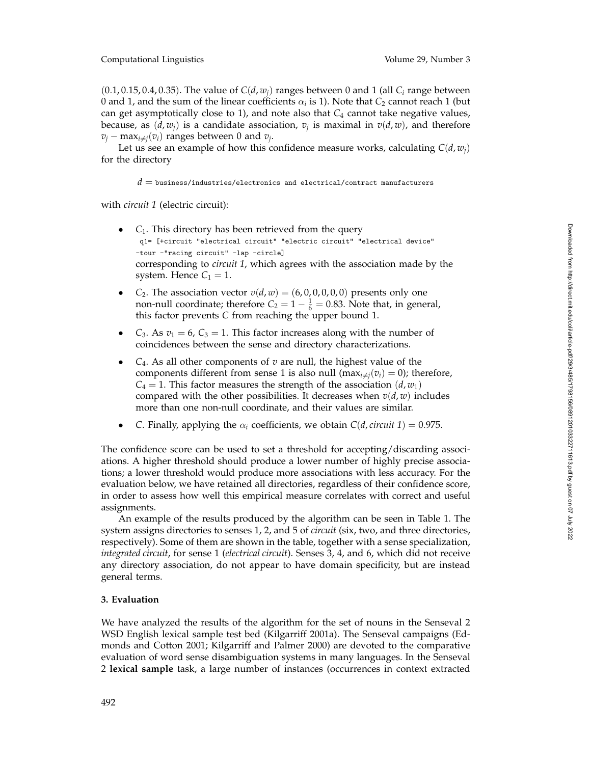$(0.1, 0.15, 0.4, 0.35)$ . The value of  $C(d, w_i)$  ranges between 0 and 1 (all  $C_i$  range between 0 and 1, and the sum of the linear coefficients  $\alpha_i$  is 1). Note that  $C_2$  cannot reach 1 (but can get asymptotically close to 1), and note also that *C*<sup>4</sup> cannot take negative values, because, as  $(d, w_i)$  is a candidate association,  $v_i$  is maximal in  $v(d, w)$ , and therefore  $v_i$  − max<sub>*i* $\neq$ *j*</sub>( $v_i$ ) ranges between 0 and  $v_i$ .

Let us see an example of how this confidence measure works, calculating  $C(d, w_j)$ for the directory

 $d=$  business/industries/electronics and electrical/contract manufacturers

with *circuit 1* (electric circuit):

- $\bullet$   $C_1$ . This directory has been retrieved from the query q1= [+circuit "electrical circuit" "electric circuit" "electrical device" -tour -"racing circuit" -lap -circle] corresponding to *circuit 1*, which agrees with the association made by the system. Hence  $C_1 = 1$ .
- $C_2$ . The association vector  $v(d, w) = (6, 0, 0, 0, 0, 0)$  presents only one non-null coordinate; therefore  $C_2 = 1 - \frac{1}{6} = 0.83$ . Note that, in general, this factor prevents *C* from reaching the upper bound 1.
- $C_3$ . As  $v_1 = 6$ ,  $C_3 = 1$ . This factor increases along with the number of coincidences between the sense and directory characterizations.
- *C*4. As all other components of *v* are null, the highest value of the components different from sense 1 is also null  $(\max_{i \neq i} (v_i) = 0)$ ; therefore,  $C_4 = 1$ . This factor measures the strength of the association  $(d, w_1)$ compared with the other possibilities. It decreases when  $v(d, w)$  includes more than one non-null coordinate, and their values are similar.
- *C.* Finally, applying the  $\alpha_i$  coefficients, we obtain  $C(d, circuit 1) = 0.975$ .

The confidence score can be used to set a threshold for accepting/discarding associations. A higher threshold should produce a lower number of highly precise associations; a lower threshold would produce more associations with less accuracy. For the evaluation below, we have retained all directories, regardless of their confidence score, in order to assess how well this empirical measure correlates with correct and useful assignments.

An example of the results produced by the algorithm can be seen in Table 1. The system assigns directories to senses 1, 2, and 5 of *circuit* (six, two, and three directories, respectively). Some of them are shown in the table, together with a sense specialization, *integrated circuit*, for sense 1 (*electrical circuit*). Senses 3, 4, and 6, which did not receive any directory association, do not appear to have domain specificity, but are instead general terms.

# **3. Evaluation**

We have analyzed the results of the algorithm for the set of nouns in the Senseval 2 WSD English lexical sample test bed (Kilgarriff 2001a). The Senseval campaigns (Edmonds and Cotton 2001; Kilgarriff and Palmer 2000) are devoted to the comparative evaluation of word sense disambiguation systems in many languages. In the Senseval 2 **lexical sample** task, a large number of instances (occurrences in context extracted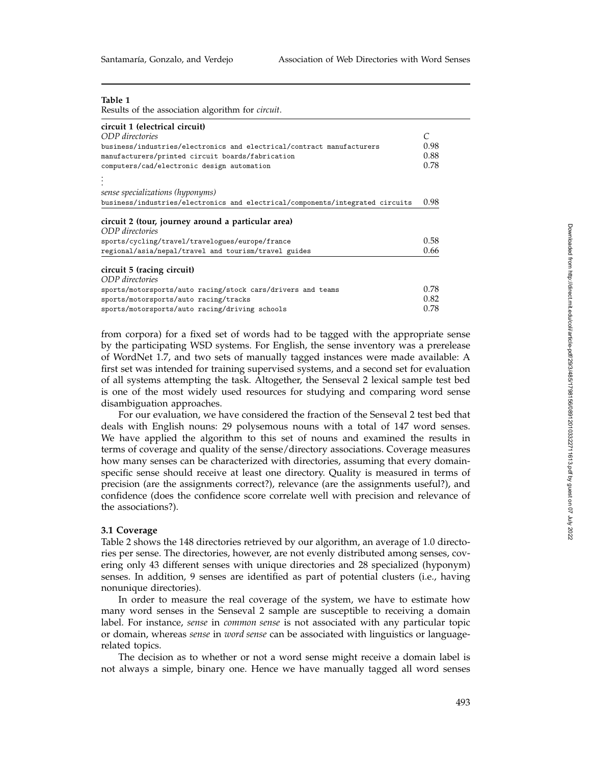| able |  |
|------|--|
|------|--|

Results of the association algorithm for *circuit* .

| circuit 1 (electrical circuit)                                                |      |  |  |
|-------------------------------------------------------------------------------|------|--|--|
| ODP directories                                                               |      |  |  |
| business/industries/electronics and electrical/contract manufacturers         | 0.98 |  |  |
| manufacturers/printed circuit boards/fabrication                              | 0.88 |  |  |
| computers/cad/electronic design automation                                    | 0.78 |  |  |
|                                                                               |      |  |  |
| sense specializations (hyponyms)                                              |      |  |  |
| business/industries/electronics and electrical/components/integrated circuits | 0.98 |  |  |
| circuit 2 (tour, journey around a particular area)<br><b>ODP</b> directories  |      |  |  |
| sports/cycling/travel/travelogues/europe/france                               | 0.58 |  |  |
| regional/asia/nepal/travel and tourism/travel guides                          | 0.66 |  |  |
| circuit 5 (racing circuit)<br><b>ODP</b> directories                          |      |  |  |
| sports/motorsports/auto racing/stock cars/drivers and teams                   | 0.78 |  |  |
| sports/motorsports/auto racing/tracks                                         | 0.82 |  |  |
| sports/motorsports/auto racing/driving schools                                |      |  |  |

from corpora) for a fixed set of words had to be tagged with the appropriate sense by the participating WSD systems. For English, the sense inventory was a prerelease of WordNet 1.7, and two sets of manually tagged instances were made available: A first set was intended for training supervised systems, and a second set for evaluation of all systems attempting the task. Altogether, the Senseval 2 lexical sample test bed is one of the most widely used resources for studying and comparing word sense disambiguation approaches.

For our evaluation, we have considered the fraction of the Senseval 2 test bed that deals with English nouns: 29 polysemous nouns with a total of 147 word senses. We have applied the algorithm to this set of nouns and examined the results in terms of coverage and quality of the sense/directory associations. Coverage measures how many senses can be characterized with directories, assuming that every domainspecific sense should receive at least one directory. Quality is measured in terms of precision (are the assignments correct?), relevance (are the assignments useful?), and confidence (does the confidence score correlate well with precision and relevance of the associations?).

## **3.1 Coverage**

Table 2 shows the 148 directories retrieved by our algorithm, an average of 1.0 directories per sense. The directories, however, are not evenly distributed among senses, covering only 43 different senses with unique directories and 28 specialized (hyponym) senses. In addition, 9 senses are identified as part of potential clusters (i.e., having nonunique directories).

In order to measure the real coverage of the system, we have to estimate how many word senses in the Senseval 2 sample are susceptible to receiving a domain label. For instance, *sense* in *common sense* is not associated with any particular topic or domain, whereas *sense* in *word sense* can be associated with linguistics or languagerelated topics.

The decision as to whether or not a word sense might receive a domain label is not always a simple, binary one. Hence we have manually tagged all word senses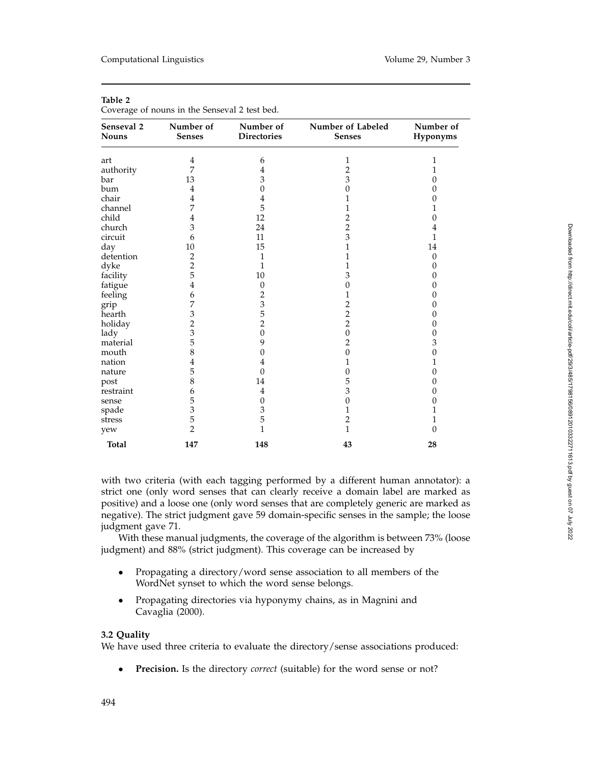| Senseval 2<br><b>Nouns</b> | Number of<br><b>Senses</b> | Number of<br><b>Directories</b> | Number of Labeled<br><b>Senses</b> | Number of<br>Hyponyms |
|----------------------------|----------------------------|---------------------------------|------------------------------------|-----------------------|
| art                        | 4                          | 6                               | $\mathbf{1}$                       | 1                     |
| authority                  | 7                          | 4                               | $\overline{c}$                     | 1                     |
| bar                        | 13                         | 3                               | 3                                  | 0                     |
| bum                        | 4                          | $\theta$                        | $\theta$                           | 0                     |
| chair                      | $\overline{4}$             | 4                               | 1                                  | 0                     |
| channel                    | 7                          | 5                               | 1                                  | 1                     |
| child                      | 4                          | 12                              | $\overline{c}$                     | $\boldsymbol{0}$      |
| church                     | 3                          | 24                              | $\overline{c}$                     | $\overline{4}$        |
| circuit                    | 6                          | 11                              | 3                                  | $\mathbf{1}$          |
| day                        | 10                         | 15                              | $\mathbf{1}$                       | 14                    |
| detention                  | 2                          | 1                               | 1                                  | $\mathbf{0}$          |
| dyke                       | $\overline{2}$             | 1                               | 1                                  | 0                     |
| facility                   | 5                          | 10                              | 3                                  | 0                     |
| fatigue                    | 4                          | 0                               | $\theta$                           | 0                     |
| feeling                    | 6                          | 2                               | 1                                  | 0                     |
| grip                       | 7                          | 3                               | $\overline{c}$                     | 0                     |
| hearth                     | 3                          | 5                               | $\overline{c}$                     | 0                     |
| holiday                    | $\boldsymbol{2}$           | $\overline{c}$                  | $\overline{c}$                     | 0                     |
| lady                       | 3                          | $\boldsymbol{0}$                | $\mathbf{0}$                       | $\overline{0}$        |
| material                   | 5                          | 9                               | $\overline{2}$                     | 3                     |
| mouth                      | 8                          | $\Omega$                        | $\theta$                           | $\mathbf{0}$          |
| nation                     | 4                          | 4                               | 1                                  | 1                     |
| nature                     | 5                          | $\theta$                        | $\mathbf{0}$                       | 0                     |
| post                       | 8                          | 14                              | 5                                  | 0                     |
| restraint                  | 6                          | 4                               | 3                                  | 0                     |
| sense                      | 5                          | $\boldsymbol{0}$                | $\mathbf{0}$                       | 0                     |
| spade                      | 3                          | 3                               | $\mathbf 1$                        | $\mathbf 1$           |
| stress                     | 5                          | 5                               | $\overline{c}$                     | $\mathbf 1$           |
| yew                        | $\overline{2}$             | 1                               | $\mathbf{1}$                       | 0                     |
| <b>Total</b>               | 147                        | 148                             | 43                                 | 28                    |

**Table 2** Coverage of nouns in the Senseval 2 test bed.

with two criteria (with each tagging performed by a different human annotator): a strict one (only word senses that can clearly receive a domain label are marked as positive) and a loose one (only word senses that are completely generic are marked as negative). The strict judgment gave 59 domain-specific senses in the sample; the loose judgment gave 71.

With these manual judgments, the coverage of the algorithm is between 73% (loose judgment) and 88% (strict judgment). This coverage can be increased by

- Propagating a directory/word sense association to all members of the WordNet synset to which the word sense belongs.
- Propagating directories via hyponymy chains, as in Magnini and Cavaglia (2000).

## **3.2 Quality**

We have used three criteria to evaluate the directory/sense associations produced:

• **Precision.** Is the directory *correct* (suitable) for the word sense or not?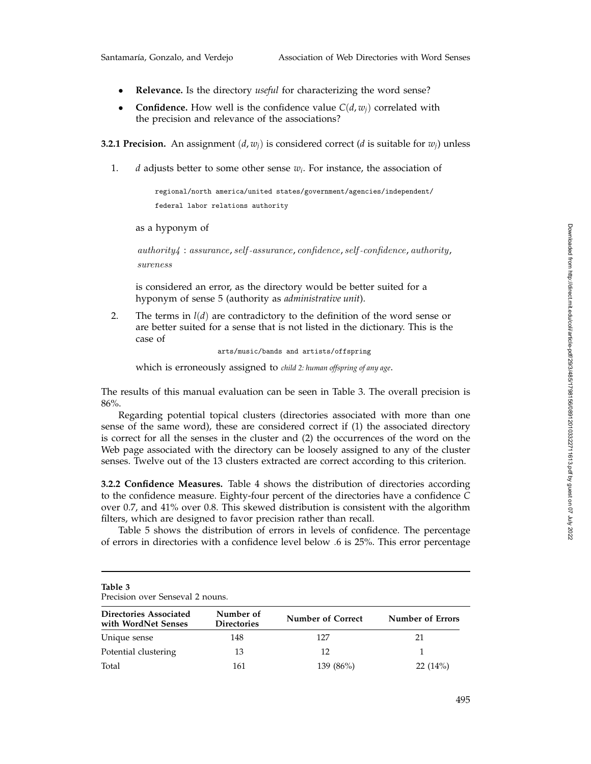- **Relevance.** Is the directory *useful* for characterizing the word sense?
- **Confidence.** How well is the confidence value  $C(d, w_i)$  correlated with the precision and relevance of the associations?

**3.2.1 Precision.** An assignment  $(d, w_i)$  is considered correct  $(d$  is suitable for  $w_i$ ) unless

1. *d* adjusts better to some other sense  $w_i$ . For instance, the association of

regional/north america/united states/government/agencies/independent/ federal labor relations authority

as a hyponym of

authority4 : assurance, self *-*assurance, confidence, self *-*confidence, authority, sureness

is considered an error, as the directory would be better suited for a hyponym of sense 5 (authority as *administrative unit*).

2. The terms in *l*(*d*) are contradictory to the definition of the word sense or are better suited for a sense that is not listed in the dictionary. This is the case of

arts/music/bands and artists/offspring

which is erroneously assigned to *child 2: human offspring of any age*.

The results of this manual evaluation can be seen in Table 3. The overall precision is 86%.

Regarding potential topical clusters (directories associated with more than one sense of the same word), these are considered correct if (1) the associated directory is correct for all the senses in the cluster and (2) the occurrences of the word on the Web page associated with the directory can be loosely assigned to any of the cluster senses. Twelve out of the 13 clusters extracted are correct according to this criterion.

**3.2.2 Confidence Measures.** Table 4 shows the distribution of directories according to the confidence measure. Eighty-four percent of the directories have a confidence *C* over 0.7, and 41% over 0.8. This skewed distribution is consistent with the algorithm filters, which are designed to favor precision rather than recall.

Table 5 shows the distribution of errors in levels of confidence. The percentage of errors in directories with a confidence level below .6 is 25%. This error percentage

| Table 3<br>Precision over Senseval 2 nouns.   |                                 |                   |                         |  |  |
|-----------------------------------------------|---------------------------------|-------------------|-------------------------|--|--|
| Directories Associated<br>with WordNet Senses | Number of<br><b>Directories</b> | Number of Correct | <b>Number of Errors</b> |  |  |
| Unique sense                                  | 148                             | 127               | 21                      |  |  |
| Potential clustering                          | 13                              | 12                |                         |  |  |
| Total                                         | 161                             | 139 (86%)         | 22(14%)                 |  |  |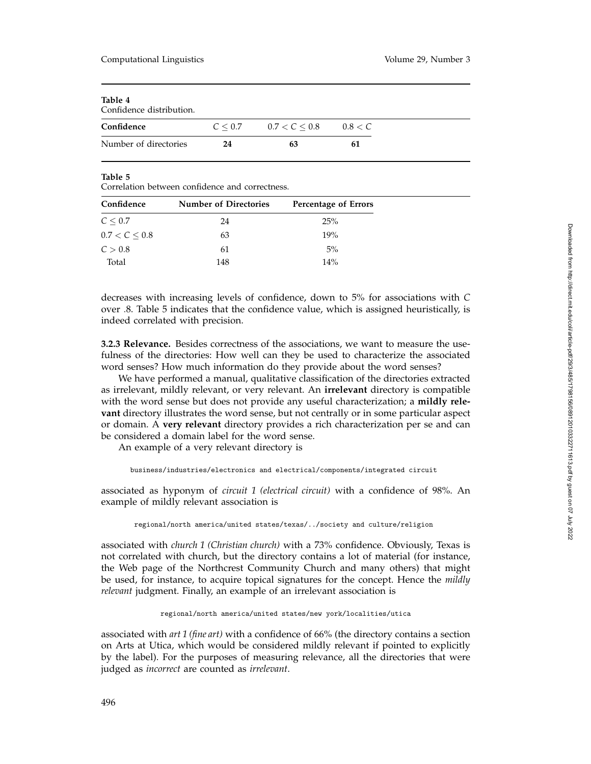| Table 4<br>Confidence distribution. |              |                    |         |  |
|-------------------------------------|--------------|--------------------|---------|--|
| Confidence                          | $C \leq 0.7$ | $0.7 < C \leq 0.8$ | 0.8 < C |  |
| Number of directories               | 24           | 63                 | 61      |  |

## **Table 5**

Correlation between confidence and correctness.

| <b>Number of Directories</b> | Percentage of Errors |
|------------------------------|----------------------|
| 24                           | 25%                  |
| 63                           | 19%                  |
| 61                           | 5%                   |
| 148                          | 14%                  |
|                              |                      |

decreases with increasing levels of confidence, down to 5% for associations with *C* over .8. Table 5 indicates that the confidence value, which is assigned heuristically, is indeed correlated with precision.

**3.2.3 Relevance.** Besides correctness of the associations, we want to measure the usefulness of the directories: How well can they be used to characterize the associated word senses? How much information do they provide about the word senses?

We have performed a manual, qualitative classification of the directories extracted as irrelevant, mildly relevant, or very relevant. An **irrelevant** directory is compatible with the word sense but does not provide any useful characterization; a **mildly relevant** directory illustrates the word sense, but not centrally or in some particular aspect or domain. A **very relevant** directory provides a rich characterization per se and can be considered a domain label for the word sense.

An example of a very relevant directory is

## business/industries/electronics and electrical/components/integrated circuit

associated as hyponym of *circuit 1 (electrical circuit)* with a confidence of 98%. An example of mildly relevant association is

regional/north america/united states/texas/../society and culture/religion

associated with *church 1 (Christian church)* with a 73% confidence. Obviously, Texas is not correlated with church, but the directory contains a lot of material (for instance, the Web page of the Northcrest Community Church and many others) that might be used, for instance, to acquire topical signatures for the concept. Hence the *mildly relevant* judgment. Finally, an example of an irrelevant association is

regional/north america/united states/new york/localities/utica

associated with *art 1 (fine art)* with a confidence of 66% (the directory contains a section on Arts at Utica, which would be considered mildly relevant if pointed to explicitly by the label). For the purposes of measuring relevance, all the directories that were judged as *incorrect* are counted as *irrelevant*.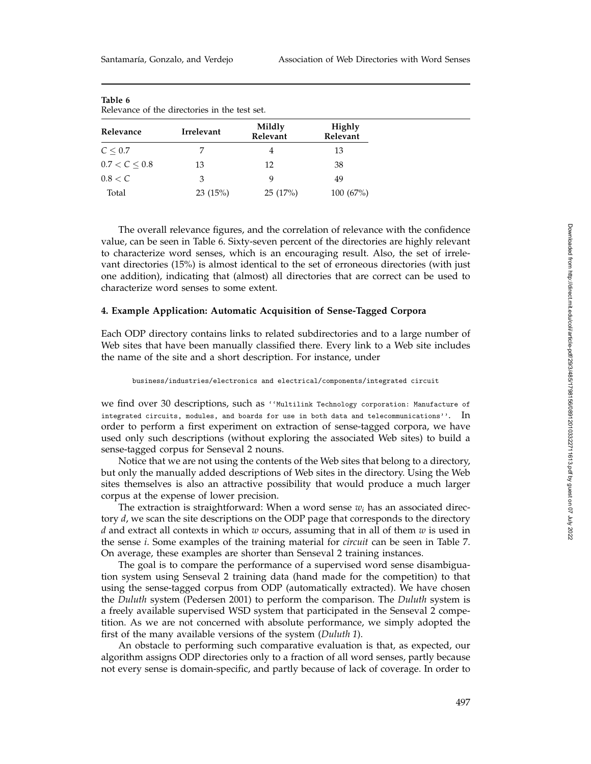| Table 6<br>Relevance of the directories in the test set. |            |                    |                    |
|----------------------------------------------------------|------------|--------------------|--------------------|
| Relevance                                                | Irrelevant | Mildly<br>Relevant | Highly<br>Relevant |
| $C \leq 0.7$                                             |            | 4                  | 13                 |
| 0.7 < C < 0.8                                            | 13         | 12                 | 38                 |
| 0.8 < C                                                  | 3          | 9                  | 49                 |
| Total                                                    | 23(15%)    | 25(17%)            | 100(67%)           |

The overall relevance figures, and the correlation of relevance with the confidence value, can be seen in Table 6. Sixty-seven percent of the directories are highly relevant to characterize word senses, which is an encouraging result. Also, the set of irrelevant directories (15%) is almost identical to the set of erroneous directories (with just one addition), indicating that (almost) all directories that are correct can be used to characterize word senses to some extent.

## **4. Example Application: Automatic Acquisition of Sense-Tagged Corpora**

Each ODP directory contains links to related subdirectories and to a large number of Web sites that have been manually classified there. Every link to a Web site includes the name of the site and a short description. For instance, under

#### business/industries/electronics and electrical/components/integrated circuit

we find over 30 descriptions, such as ''Multilink Technology corporation: Manufacture of integrated circuits, modules, and boards for use in both data and telecommunications''. In order to perform a first experiment on extraction of sense-tagged corpora, we have used only such descriptions (without exploring the associated Web sites) to build a sense-tagged corpus for Senseval 2 nouns.

Notice that we are not using the contents of the Web sites that belong to a directory, but only the manually added descriptions of Web sites in the directory. Using the Web sites themselves is also an attractive possibility that would produce a much larger corpus at the expense of lower precision.

The extraction is straightforward: When a word sense  $w_i$  has an associated directory *d*, we scan the site descriptions on the ODP page that corresponds to the directory *d* and extract all contexts in which *w* occurs, assuming that in all of them *w* is used in the sense *i*. Some examples of the training material for *circuit* can be seen in Table 7. On average, these examples are shorter than Senseval 2 training instances.

The goal is to compare the performance of a supervised word sense disambiguation system using Senseval 2 training data (hand made for the competition) to that using the sense-tagged corpus from ODP (automatically extracted). We have chosen the *Duluth* system (Pedersen 2001) to perform the comparison. The *Duluth* system is a freely available supervised WSD system that participated in the Senseval 2 competition. As we are not concerned with absolute performance, we simply adopted the first of the many available versions of the system (*Duluth 1*).

An obstacle to performing such comparative evaluation is that, as expected, our algorithm assigns ODP directories only to a fraction of all word senses, partly because not every sense is domain-specific, and partly because of lack of coverage. In order to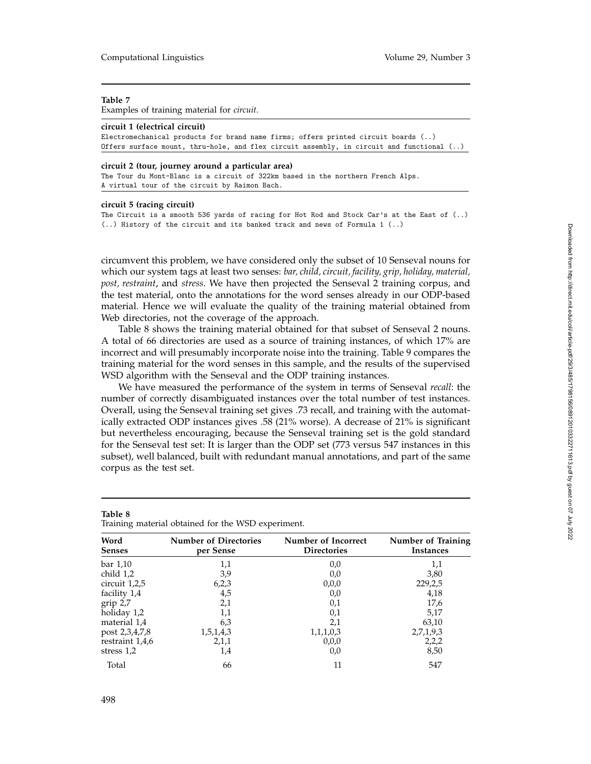#### **Table 7**

Examples of training material for *circuit*.

#### **circuit 1 (electrical circuit)**

Electromechanical products for brand name firms; offers printed circuit boards (..) Offers surface mount, thru-hole, and flex circuit assembly, in circuit and functional (..)

#### **circuit 2 (tour, journey around a particular area)**

The Tour du Mont-Blanc is a circuit of 322km based in the northern French Alps. A virtual tour of the circuit by Raimon Bach.

## **circuit 5 (racing circuit)**

The Circuit is a smooth 536 yards of racing for Hot Rod and Stock Car's at the East of (..) (..) History of the circuit and its banked track and news of Formula 1 (..)

circumvent this problem, we have considered only the subset of 10 Senseval nouns for which our system tags at least two senses: *bar, child, circuit, facility, grip, holiday, material, post, restraint*, and *stress*. We have then projected the Senseval 2 training corpus, and the test material, onto the annotations for the word senses already in our ODP-based material. Hence we will evaluate the quality of the training material obtained from Web directories, not the coverage of the approach.

Table 8 shows the training material obtained for that subset of Senseval 2 nouns. A total of 66 directories are used as a source of training instances, of which 17% are incorrect and will presumably incorporate noise into the training. Table 9 compares the training material for the word senses in this sample, and the results of the supervised WSD algorithm with the Senseval and the ODP training instances.

We have measured the performance of the system in terms of Senseval *recall*: the number of correctly disambiguated instances over the total number of test instances. Overall, using the Senseval training set gives .73 recall, and training with the automatically extracted ODP instances gives .58 (21% worse). A decrease of 21% is significant but nevertheless encouraging, because the Senseval training set is the gold standard for the Senseval test set: It is larger than the ODP set (773 versus 547 instances in this subset), well balanced, built with redundant manual annotations, and part of the same corpus as the test set.

| Word<br><b>Senses</b> | <b>Number of Directories</b><br>per Sense | Number of Incorrect<br><b>Directories</b> | <b>Number of Training</b><br><b>Instances</b> |
|-----------------------|-------------------------------------------|-------------------------------------------|-----------------------------------------------|
| bar 1,10              | 1,1                                       | 0,0                                       | 1,1                                           |
| child 1,2             | 3,9                                       | 0,0                                       | 3,80                                          |
| circuit $1,2,5$       | 6,2,3                                     | 0,0,0                                     | 229,2,5                                       |
| facility 1,4          | 4,5                                       | 0,0                                       | 4,18                                          |
| $grip$ 2,7            | 2,1                                       | 0,1                                       | 17,6                                          |
| holiday 1,2           | 1,1                                       | 0,1                                       | 5,17                                          |
| material 1,4          | 6,3                                       | 2,1                                       | 63,10                                         |
| post 2,3,4,7,8        | 1,5,1,4,3                                 | 1,1,1,0,3                                 | 2,7,1,9,3                                     |
| restraint 1,4,6       | 2,1,1                                     | 0,0,0                                     | 2,2,2                                         |
| stress 1,2            | 1,4                                       | 0,0                                       | 8,50                                          |
| Total                 | 66                                        | 11                                        | 547                                           |

| Table 8                                            |  |  |  |
|----------------------------------------------------|--|--|--|
| Training material obtained for the WSD experiment. |  |  |  |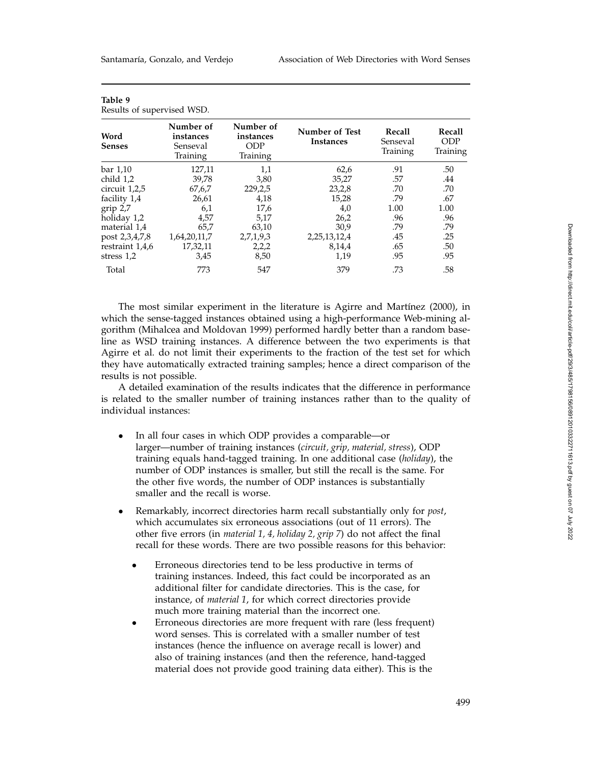| Table 9<br>Results of supervised WSD. |                                                |                                                  |                                    |                                       |                                  |
|---------------------------------------|------------------------------------------------|--------------------------------------------------|------------------------------------|---------------------------------------|----------------------------------|
| Word<br><b>Senses</b>                 | Number of<br>instances<br>Senseval<br>Training | Number of<br>instances<br><b>ODP</b><br>Training | Number of Test<br><b>Instances</b> | <b>Recall</b><br>Senseval<br>Training | <b>Recall</b><br>ODP<br>Training |
| bar 1,10                              | 127,11                                         | 1,1                                              | 62,6                               | .91                                   | .50                              |
| child 1,2                             | 39,78                                          | 3,80                                             | 35,27                              | .57                                   | .44                              |
| circuit $1,2,5$                       | 67,6,7                                         | 229,2,5                                          | 23,2,8                             | .70                                   | .70                              |
| facility 1,4                          | 26,61                                          | 4,18                                             | 15,28                              | .79                                   | .67                              |
| grip 2,7                              | 6,1                                            | 17,6                                             | 4,0                                | 1.00                                  | 1.00                             |
| holiday 1,2                           | 4,57                                           | 5,17                                             | 26,2                               | .96                                   | .96                              |
| material 1,4                          | 65,7                                           | 63,10                                            | 30,9                               | .79                                   | .79                              |
| post 2,3,4,7,8                        | 1,64,20,11,7                                   | 2,7,1,9,3                                        | 2,25,13,12,4                       | .45                                   | .25                              |
| restraint 1,4,6                       | 17,32,11                                       | 2,2,2                                            | 8,14,4                             | .65                                   | .50                              |
| stress 1,2                            | 3,45                                           | 8,50                                             | 1,19                               | .95                                   | .95                              |
| Total                                 | 773                                            | 547                                              | 379                                | .73                                   | .58                              |

The most similar experiment in the literature is Agirre and Martínez (2000), in which the sense-tagged instances obtained using a high-performance Web-mining algorithm (Mihalcea and Moldovan 1999) performed hardly better than a random baseline as WSD training instances. A difference between the two experiments is that Agirre et al. do not limit their experiments to the fraction of the test set for which they have automatically extracted training samples; hence a direct comparison of the results is not possible.

A detailed examination of the results indicates that the difference in performance is related to the smaller number of training instances rather than to the quality of individual instances:

- In all four cases in which ODP provides a comparable—or larger—number of training instances (*circuit, grip, material, stress*), ODP training equals hand-tagged training. In one additional case (*holiday*), the number of ODP instances is smaller, but still the recall is the same. For the other five words, the number of ODP instances is substantially smaller and the recall is worse.
- Remarkably, incorrect directories harm recall substantially only for *post* , which accumulates six erroneous associations (out of 11 errors). The other five errors (in *material 1, 4, holiday 2, grip 7*) do not affect the final recall for these words. There are two possible reasons for this behavior:
	- Erroneous directories tend to be less productive in terms of training instances. Indeed, this fact could be incorporated as an additional filter for candidate directories. This is the case, for instance, of *material 1*, for which correct directories provide much more training material than the incorrect one.
	- Erroneous directories are more frequent with rare (less frequent) word senses. This is correlated with a smaller number of test instances (hence the influence on average recall is lower) and also of training instances (and then the reference, hand-tagged material does not provide good training data either). This is the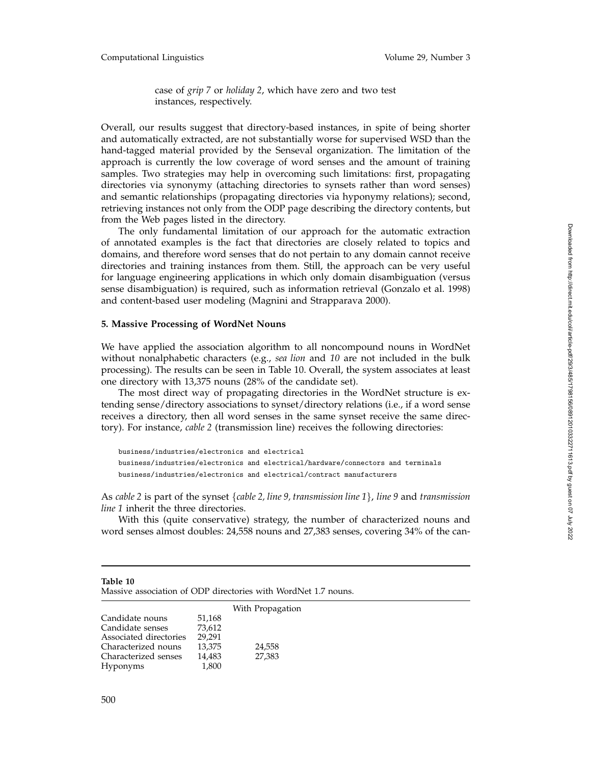Computational Linguistics Volume 29, Number 3

case of *grip 7* or *holiday 2*, which have zero and two test instances, respectively.

Overall, our results suggest that directory-based instances, in spite of being shorter and automatically extracted, are not substantially worse for supervised WSD than the hand-tagged material provided by the Senseval organization. The limitation of the approach is currently the low coverage of word senses and the amount of training samples. Two strategies may help in overcoming such limitations: first, propagating directories via synonymy (attaching directories to synsets rather than word senses) and semantic relationships (propagating directories via hyponymy relations); second, retrieving instances not only from the ODP page describing the directory contents, but from the Web pages listed in the directory.

The only fundamental limitation of our approach for the automatic extraction of annotated examples is the fact that directories are closely related to topics and domains, and therefore word senses that do not pertain to any domain cannot receive directories and training instances from them. Still, the approach can be very useful for language engineering applications in which only domain disambiguation (versus sense disambiguation) is required, such as information retrieval (Gonzalo et al. 1998) and content-based user modeling (Magnini and Strapparava 2000).

# **5. Massive Processing of WordNet Nouns**

We have applied the association algorithm to all noncompound nouns in WordNet without nonalphabetic characters (e.g., *sea lion* and *10* are not included in the bulk processing). The results can be seen in Table 10. Overall, the system associates at least one directory with 13,375 nouns (28% of the candidate set).

The most direct way of propagating directories in the WordNet structure is extending sense/directory associations to synset/directory relations (i.e., if a word sense receives a directory, then all word senses in the same synset receive the same directory). For instance, *cable 2* (transmission line) receives the following directories:

business/industries/electronics and electrical business/industries/electronics and electrical/hardware/connectors and terminals business/industries/electronics and electrical/contract manufacturers

As *cable 2* is part of the synset {*cable 2, line 9, transmission line 1*}, *line 9* and *transmission line 1* inherit the three directories.

With this (quite conservative) strategy, the number of characterized nouns and word senses almost doubles: 24,558 nouns and 27,383 senses, covering 34% of the can-

| Table 10 |                                                                |
|----------|----------------------------------------------------------------|
|          | Massive association of ODP directories with WordNet 1.7 nouns. |

|                        |        | With Propagation |
|------------------------|--------|------------------|
| Candidate nouns        | 51,168 |                  |
| Candidate senses       | 73,612 |                  |
| Associated directories | 29.291 |                  |
| Characterized nouns    | 13,375 | 24,558           |
| Characterized senses   | 14,483 | 27,383           |
| <b>Hyponyms</b>        | 1,800  |                  |
|                        |        |                  |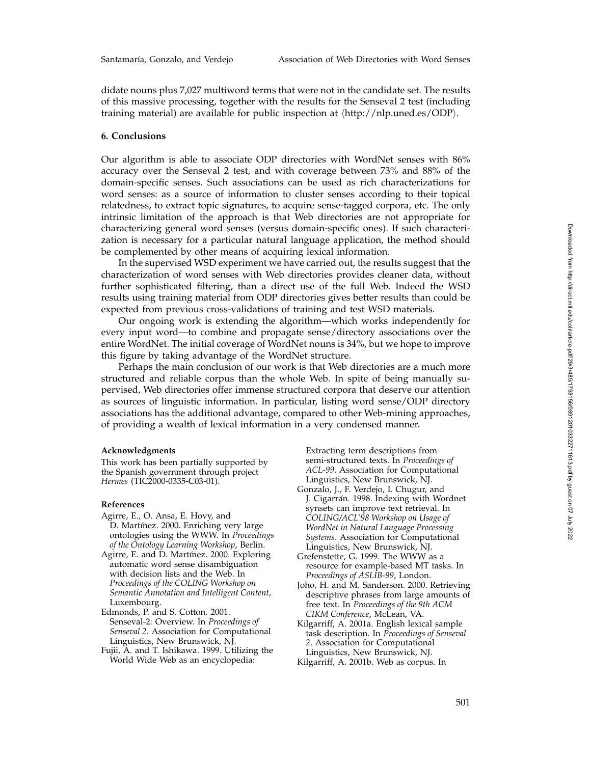didate nouns plus 7,027 multiword terms that were not in the candidate set. The results of this massive processing, together with the results for the Senseval 2 test (including training material) are available for public inspection at  $\langle$ http://nlp.uned.es/ODP $\rangle$ .

## **6. Conclusions**

Our algorithm is able to associate ODP directories with WordNet senses with 86% accuracy over the Senseval 2 test, and with coverage between 73% and 88% of the domain-specific senses. Such associations can be used as rich characterizations for word senses: as a source of information to cluster senses according to their topical relatedness, to extract topic signatures, to acquire sense-tagged corpora, etc. The only intrinsic limitation of the approach is that Web directories are not appropriate for characterizing general word senses (versus domain-specific ones). If such characterization is necessary for a particular natural language application, the method should be complemented by other means of acquiring lexical information.

In the supervised WSD experiment we have carried out, the results suggest that the characterization of word senses with Web directories provides cleaner data, without further sophisticated filtering, than a direct use of the full Web. Indeed the WSD results using training material from ODP directories gives better results than could be expected from previous cross-validations of training and test WSD materials.

Our ongoing work is extending the algorithm—which works independently for every input word—to combine and propagate sense/directory associations over the entire WordNet. The initial coverage of WordNet nouns is 34%, but we hope to improve this figure by taking advantage of the WordNet structure.

Perhaps the main conclusion of our work is that Web directories are a much more structured and reliable corpus than the whole Web. In spite of being manually supervised, Web directories offer immense structured corpora that deserve our attention as sources of linguistic information. In particular, listing word sense/ODP directory associations has the additional advantage, compared to other Web-mining approaches, of providing a wealth of lexical information in a very condensed manner.

## **Acknowledgments**

This work has been partially supported by the Spanish government through project *Hermes* (TIC2000-0335-C03-01).

#### **References**

- Agirre, E., O. Ansa, E. Hovy, and D. Martínez. 2000. Enriching very large ontologies using the WWW. In *Proceedings of the Ontology Learning Workshop*, Berlin.
- Agirre, E. and D. Martínez. 2000. Exploring automatic word sense disambiguation with decision lists and the Web. In *Proceedings of the COLING Workshop on Semantic Annotation and Intelligent Content* , Luxembourg.
- Edmonds, P. and S. Cotton. 2001. Senseval-2: Overview. In *Proceedings of Senseval 2*. Association for Computational Linguistics, New Brunswick, NJ.
- Fujii, A. and T. Ishikawa. 1999. Utilizing the World Wide Web as an encyclopedia:

Extracting term descriptions from semi-structured texts. In *Proceedings of ACL-99*. Association for Computational Linguistics, New Brunswick, NJ.

- Gonzalo, J., F. Verdejo, I. Chugur, and J. Cigarrán. 1998. Indexing with Wordnet synsets can improve text retrieval. In *COLING/ACL'98 Workshop on Usage of WordNet in Natural Language Processing Systems*. Association for Computational Linguistics, New Brunswick, NJ.
- Grefenstette, G. 1999. The WWW as a resource for example-based MT tasks. In *Proceedings of ASLIB-99*, London.
- Joho, H. and M. Sanderson. 2000. Retrieving descriptive phrases from large amounts of free text. In *Proceedings of the 9th ACM CIKM Conference*, McLean, VA.
- Kilgarriff, A. 2001a. English lexical sample task description. In *Proceedings of Senseval 2*. Association for Computational Linguistics, New Brunswick, NJ.
- Kilgarriff, A. 2001b. Web as corpus. In